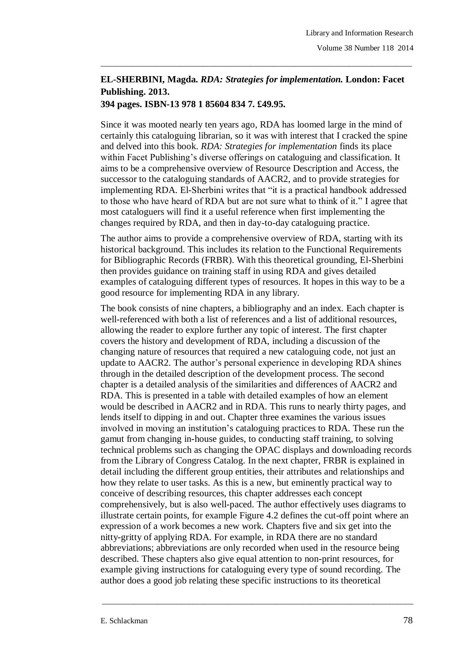## **EL-SHERBINI, Magda.** *RDA: Strategies for implementation.* **London: Facet Publishing. 2013.**

\_\_\_\_\_\_\_\_\_\_\_\_\_\_\_\_\_\_\_\_\_\_\_\_\_\_\_\_\_\_\_\_\_\_\_\_\_\_\_\_\_\_\_\_\_\_\_\_\_\_\_\_\_\_\_\_\_\_\_\_\_\_\_\_\_\_\_\_\_\_\_\_\_\_\_\_\_\_\_

## **394 pages. ISBN-13 978 1 85604 834 7. £49.95.**

Since it was mooted nearly ten years ago, RDA has loomed large in the mind of certainly this cataloguing librarian, so it was with interest that I cracked the spine and delved into this book. *RDA: Strategies for implementation* finds its place within Facet Publishing's diverse offerings on cataloguing and classification. It aims to be a comprehensive overview of Resource Description and Access, the successor to the cataloguing standards of AACR2, and to provide strategies for implementing RDA. El-Sherbini writes that "it is a practical handbook addressed to those who have heard of RDA but are not sure what to think of it." I agree that most cataloguers will find it a useful reference when first implementing the changes required by RDA, and then in day-to-day cataloguing practice.

The author aims to provide a comprehensive overview of RDA, starting with its historical background. This includes its relation to the Functional Requirements for Bibliographic Records (FRBR). With this theoretical grounding, El-Sherbini then provides guidance on training staff in using RDA and gives detailed examples of cataloguing different types of resources. It hopes in this way to be a good resource for implementing RDA in any library.

The book consists of nine chapters, a bibliography and an index. Each chapter is well-referenced with both a list of references and a list of additional resources, allowing the reader to explore further any topic of interest. The first chapter covers the history and development of RDA, including a discussion of the changing nature of resources that required a new cataloguing code, not just an update to AACR2. The author's personal experience in developing RDA shines through in the detailed description of the development process. The second chapter is a detailed analysis of the similarities and differences of AACR2 and RDA. This is presented in a table with detailed examples of how an element would be described in AACR2 and in RDA. This runs to nearly thirty pages, and lends itself to dipping in and out. Chapter three examines the various issues involved in moving an institution's cataloguing practices to RDA. These run the gamut from changing in-house guides, to conducting staff training, to solving technical problems such as changing the OPAC displays and downloading records from the Library of Congress Catalog. In the next chapter, FRBR is explained in detail including the different group entities, their attributes and relationships and how they relate to user tasks. As this is a new, but eminently practical way to conceive of describing resources, this chapter addresses each concept comprehensively, but is also well-paced. The author effectively uses diagrams to illustrate certain points, for example Figure 4.2 defines the cut-off point where an expression of a work becomes a new work. Chapters five and six get into the nitty-gritty of applying RDA. For example, in RDA there are no standard abbreviations; abbreviations are only recorded when used in the resource being described. These chapters also give equal attention to non-print resources, for example giving instructions for cataloguing every type of sound recording. The author does a good job relating these specific instructions to its theoretical

\_\_\_\_\_\_\_\_\_\_\_\_\_\_\_\_\_\_\_\_\_\_\_\_\_\_\_\_\_\_\_\_\_\_\_\_\_\_\_\_\_\_\_\_\_\_\_\_\_\_\_\_\_\_\_\_\_\_\_\_\_\_\_\_\_\_\_\_\_\_\_\_\_\_\_\_\_\_\_